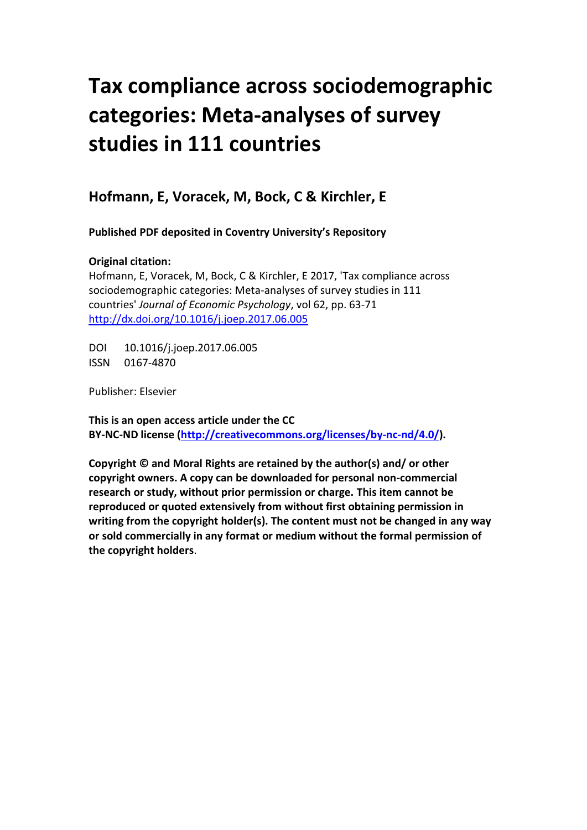# **Tax compliance across sociodemographic categories: Meta-analyses of survey studies in 111 countries**

### **Hofmann, E, Voracek, M, Bock, C & Kirchler, E**

**Published PDF deposited in Coventry University's Repository**

### **Original citation:**

Hofmann, E, Voracek, M, Bock, C & Kirchler, E 2017, 'Tax compliance across sociodemographic categories: Meta-analyses of survey studies in 111 countries' *Journal of Economic Psychology*, vol 62, pp. 63-71 <http://dx.doi.org/10.1016/j.joep.2017.06.005>

DOI 10.1016/j.joep.2017.06.005 ISSN 0167-4870

Publisher: Elsevier

**This is an open access article under the CC BY-NC-ND license [\(http://creativecommons.org/licenses/by-nc-nd/4.0/\)](http://creativecommons.org/licenses/by-nc-nd/4.0/).**

**Copyright © and Moral Rights are retained by the author(s) and/ or other copyright owners. A copy can be downloaded for personal non-commercial research or study, without prior permission or charge. This item cannot be reproduced or quoted extensively from without first obtaining permission in writing from the copyright holder(s). The content must not be changed in any way or sold commercially in any format or medium without the formal permission of the copyright holders**.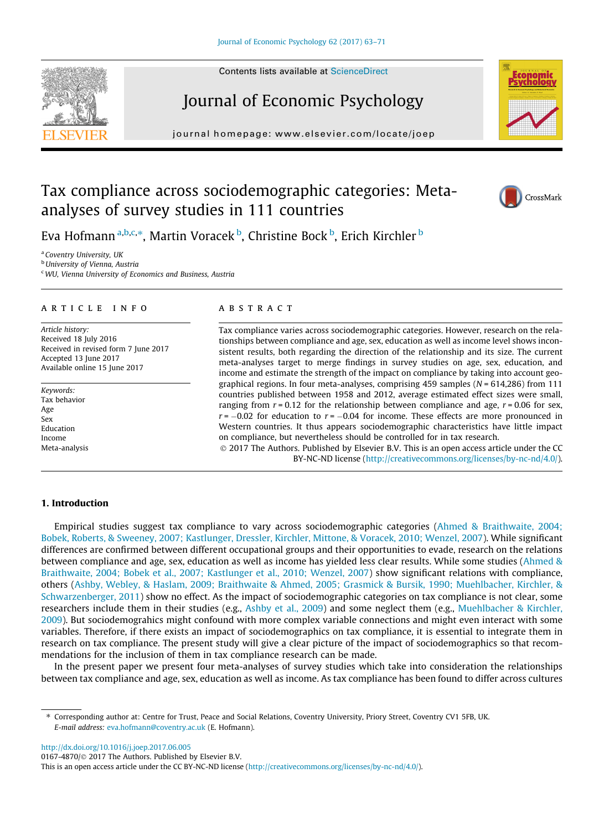## Journal of Economic Psychology

journal homepage: [www.elsevier.com/locate/joep](http://www.elsevier.com/locate/joep)

### Tax compliance across sociodemographic categories: Metaanalyses of survey studies in 111 countries

Eva Hofmann<sup>a,b,c,</sup>\*, Martin Voracek <sup>b</sup>, Christine Bock <sup>b</sup>, Erich Kirchler <sup>b</sup>

<sup>a</sup> Coventry University, UK

**b** University of Vienna, Austria

<sup>c</sup>WU, Vienna University of Economics and Business, Austria

#### article info

Article history: Received 18 July 2016 Received in revised form 7 June 2017 Accepted 13 June 2017 Available online 15 June 2017

Keywords: Tax behavior Age Sex Education Income Meta-analysis

#### **ABSTRACT**

Tax compliance varies across sociodemographic categories. However, research on the relationships between compliance and age, sex, education as well as income level shows inconsistent results, both regarding the direction of the relationship and its size. The current meta-analyses target to merge findings in survey studies on age, sex, education, and income and estimate the strength of the impact on compliance by taking into account geographical regions. In four meta-analyses, comprising  $459$  samples ( $N = 614,286$ ) from  $111$ countries published between 1958 and 2012, average estimated effect sizes were small, ranging from  $r = 0.12$  for the relationship between compliance and age,  $r = 0.06$  for sex,  $r = -0.02$  for education to  $r = -0.04$  for income. These effects are more pronounced in Western countries. It thus appears sociodemographic characteristics have little impact on compliance, but nevertheless should be controlled for in tax research.

 2017 The Authors. Published by Elsevier B.V. This is an open access article under the CC BY-NC-ND license [\(http://creativecommons.org/licenses/by-nc-nd/4.0/\)](http://creativecommons.org/licenses/by-nc-nd/4.0/).

#### 1. Introduction

Empirical studies suggest tax compliance to vary across sociodemographic categories [\(Ahmed & Braithwaite, 2004;](#page-7-0) [Bobek, Roberts, & Sweeney, 2007; Kastlunger, Dressler, Kirchler, Mittone, & Voracek, 2010; Wenzel, 2007\)](#page-7-0). While significant differences are confirmed between different occupational groups and their opportunities to evade, research on the relations between compliance and age, sex, education as well as income has yielded less clear results. While some studies [\(Ahmed &](#page-7-0) [Braithwaite, 2004; Bobek et al., 2007; Kastlunger et al., 2010; Wenzel, 2007](#page-7-0)) show significant relations with compliance, others ([Ashby, Webley, & Haslam, 2009; Braithwaite & Ahmed, 2005; Grasmick & Bursik, 1990; Muehlbacher, Kirchler, &](#page-7-0) [Schwarzenberger, 2011](#page-7-0)) show no effect. As the impact of sociodemographic categories on tax compliance is not clear, some researchers include them in their studies (e.g., [Ashby et al., 2009\)](#page-7-0) and some neglect them (e.g., [Muehlbacher & Kirchler,](#page-8-0) [2009\)](#page-8-0). But sociodemograhics might confound with more complex variable connections and might even interact with some variables. Therefore, if there exists an impact of sociodemographics on tax compliance, it is essential to integrate them in research on tax compliance. The present study will give a clear picture of the impact of sociodemographics so that recommendations for the inclusion of them in tax compliance research can be made.

In the present paper we present four meta-analyses of survey studies which take into consideration the relationships between tax compliance and age, sex, education as well as income. As tax compliance has been found to differ across cultures

<http://dx.doi.org/10.1016/j.joep.2017.06.005>

0167-4870/ $\circ$  2017 The Authors. Published by Elsevier B.V.







<sup>⇑</sup> Corresponding author at: Centre for Trust, Peace and Social Relations, Coventry University, Priory Street, Coventry CV1 5FB, UK. E-mail address: [eva.hofmann@coventry.ac.uk](mailto:eva.hofmann@coventry.ac.uk) (E. Hofmann).

This is an open access article under the CC BY-NC-ND license [\(http://creativecommons.org/licenses/by-nc-nd/4.0/](http://creativecommons.org/licenses/by-nc-nd/4.0/)).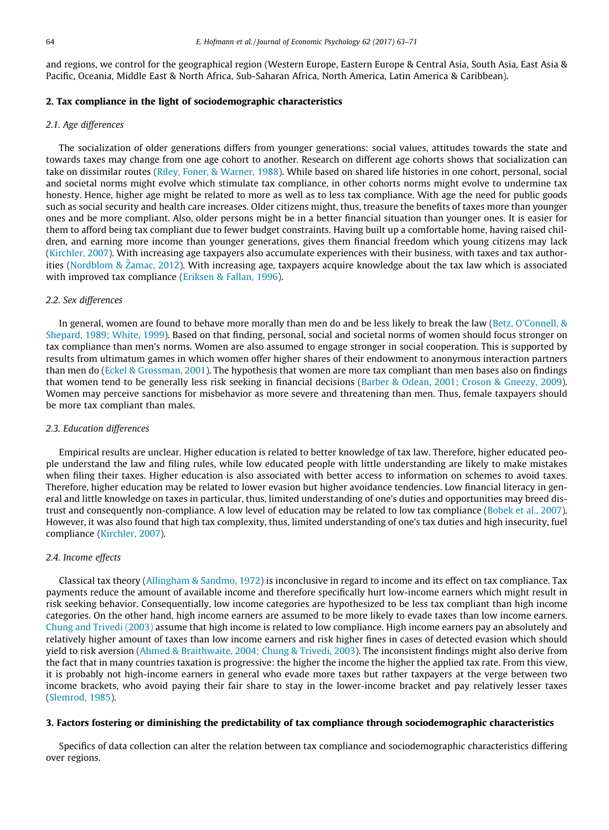and regions, we control for the geographical region (Western Europe, Eastern Europe & Central Asia, South Asia, East Asia & Pacific, Oceania, Middle East & North Africa, Sub-Saharan Africa, North America, Latin America & Caribbean).

#### 2. Tax compliance in the light of sociodemographic characteristics

#### 2.1. Age differences

The socialization of older generations differs from younger generations: social values, attitudes towards the state and towards taxes may change from one age cohort to another. Research on different age cohorts shows that socialization can take on dissimilar routes ([Riley, Foner, & Warner, 1988](#page-8-0)). While based on shared life histories in one cohort, personal, social and societal norms might evolve which stimulate tax compliance, in other cohorts norms might evolve to undermine tax honesty. Hence, higher age might be related to more as well as to less tax compliance. With age the need for public goods such as social security and health care increases. Older citizens might, thus, treasure the benefits of taxes more than younger ones and be more compliant. Also, older persons might be in a better financial situation than younger ones. It is easier for them to afford being tax compliant due to fewer budget constraints. Having built up a comfortable home, having raised children, and earning more income than younger generations, gives them financial freedom which young citizens may lack [\(Kirchler, 2007](#page-8-0)). With increasing age taxpayers also accumulate experiences with their business, with taxes and tax authorities (Nordblom &  $\zeta$ amac, 2012). With increasing age, taxpayers acquire knowledge about the tax law which is associated with improved tax compliance ([Eriksen & Fallan, 1996\)](#page-8-0).

#### 2.2. Sex differences

In general, women are found to behave more morally than men do and be less likely to break the law ([Betz, O'Connell, &](#page-8-0) [Shepard, 1989; White, 1999](#page-8-0)). Based on that finding, personal, social and societal norms of women should focus stronger on tax compliance than men's norms. Women are also assumed to engage stronger in social cooperation. This is supported by results from ultimatum games in which women offer higher shares of their endowment to anonymous interaction partners than men do ([Eckel & Grossman, 2001](#page-8-0)). The hypothesis that women are more tax compliant than men bases also on findings that women tend to be generally less risk seeking in financial decisions [\(Barber & Odean, 2001; Croson & Gneezy, 2009](#page-7-0)). Women may perceive sanctions for misbehavior as more severe and threatening than men. Thus, female taxpayers should be more tax compliant than males.

#### 2.3. Education differences

Empirical results are unclear. Higher education is related to better knowledge of tax law. Therefore, higher educated people understand the law and filing rules, while low educated people with little understanding are likely to make mistakes when filing their taxes. Higher education is also associated with better access to information on schemes to avoid taxes. Therefore, higher education may be related to lower evasion but higher avoidance tendencies. Low financial literacy in general and little knowledge on taxes in particular, thus, limited understanding of one's duties and opportunities may breed distrust and consequently non-compliance. A low level of education may be related to low tax compliance ([Bobek et al., 2007](#page-8-0)). However, it was also found that high tax complexity, thus, limited understanding of one's tax duties and high insecurity, fuel compliance [\(Kirchler, 2007](#page-8-0)).

#### 2.4. Income effects

Classical tax theory ([Allingham & Sandmo, 1972\)](#page-7-0) is inconclusive in regard to income and its effect on tax compliance. Tax payments reduce the amount of available income and therefore specifically hurt low-income earners which might result in risk seeking behavior. Consequentially, low income categories are hypothesized to be less tax compliant than high income categories. On the other hand, high income earners are assumed to be more likely to evade taxes than low income earners. [Chung and Trivedi \(2003\)](#page-8-0) assume that high income is related to low compliance. High income earners pay an absolutely and relatively higher amount of taxes than low income earners and risk higher fines in cases of detected evasion which should yield to risk aversion [\(Ahmed & Braithwaite, 2004; Chung & Trivedi, 2003\)](#page-7-0). The inconsistent findings might also derive from the fact that in many countries taxation is progressive: the higher the income the higher the applied tax rate. From this view, it is probably not high-income earners in general who evade more taxes but rather taxpayers at the verge between two income brackets, who avoid paying their fair share to stay in the lower-income bracket and pay relatively lesser taxes [\(Slemrod, 1985](#page-8-0)).

#### 3. Factors fostering or diminishing the predictability of tax compliance through sociodemographic characteristics

Specifics of data collection can alter the relation between tax compliance and sociodemographic characteristics differing over regions.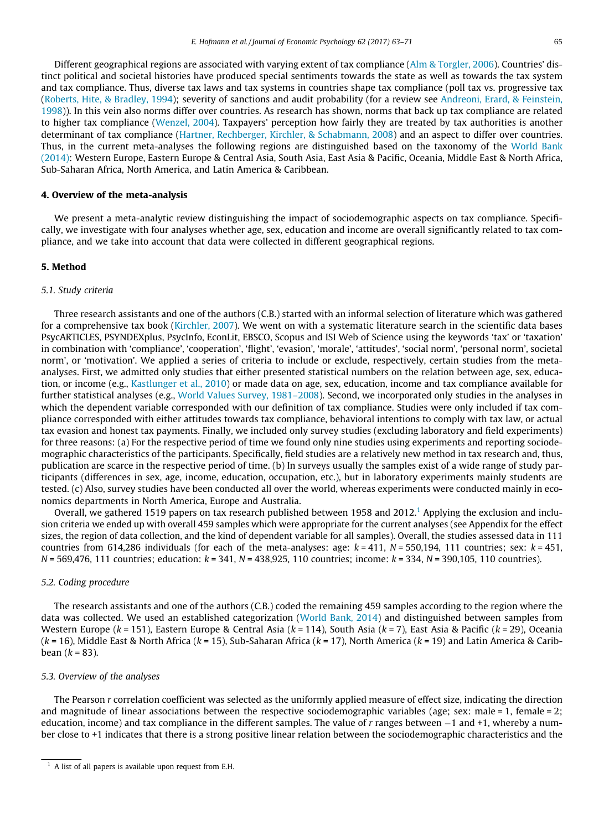Different geographical regions are associated with varying extent of tax compliance ([Alm & Torgler, 2006\)](#page-7-0). Countries' distinct political and societal histories have produced special sentiments towards the state as well as towards the tax system and tax compliance. Thus, diverse tax laws and tax systems in countries shape tax compliance (poll tax vs. progressive tax ([Roberts, Hite, & Bradley, 1994](#page-8-0)); severity of sanctions and audit probability (for a review see [Andreoni, Erard, & Feinstein,](#page-7-0) [1998\)](#page-7-0)). In this vein also norms differ over countries. As research has shown, norms that back up tax compliance are related to higher tax compliance [\(Wenzel, 2004](#page-8-0)). Taxpayers' perception how fairly they are treated by tax authorities is another determinant of tax compliance [\(Hartner, Rechberger, Kirchler, & Schabmann, 2008\)](#page-8-0) and an aspect to differ over countries. Thus, in the current meta-analyses the following regions are distinguished based on the taxonomy of the [World Bank](#page-8-0) [\(2014\):](#page-8-0) Western Europe, Eastern Europe & Central Asia, South Asia, East Asia & Pacific, Oceania, Middle East & North Africa, Sub-Saharan Africa, North America, and Latin America & Caribbean.

#### 4. Overview of the meta-analysis

We present a meta-analytic review distinguishing the impact of sociodemographic aspects on tax compliance. Specifically, we investigate with four analyses whether age, sex, education and income are overall significantly related to tax compliance, and we take into account that data were collected in different geographical regions.

#### 5. Method

#### 5.1. Study criteria

Three research assistants and one of the authors (C.B.) started with an informal selection of literature which was gathered for a comprehensive tax book ([Kirchler, 2007](#page-8-0)). We went on with a systematic literature search in the scientific data bases PsycARTICLES, PSYNDEXplus, PsycInfo, EconLit, EBSCO, Scopus and ISI Web of Science using the keywords 'tax' or 'taxation' in combination with 'compliance', 'cooperation', 'flight', 'evasion', 'morale', 'attitudes', 'social norm', 'personal norm', societal norm', or 'motivation'. We applied a series of criteria to include or exclude, respectively, certain studies from the metaanalyses. First, we admitted only studies that either presented statistical numbers on the relation between age, sex, education, or income (e.g., [Kastlunger et al., 2010](#page-8-0)) or made data on age, sex, education, income and tax compliance available for further statistical analyses (e.g., [World Values Survey, 1981–2008](#page-8-0)). Second, we incorporated only studies in the analyses in which the dependent variable corresponded with our definition of tax compliance. Studies were only included if tax compliance corresponded with either attitudes towards tax compliance, behavioral intentions to comply with tax law, or actual tax evasion and honest tax payments. Finally, we included only survey studies (excluding laboratory and field experiments) for three reasons: (a) For the respective period of time we found only nine studies using experiments and reporting sociodemographic characteristics of the participants. Specifically, field studies are a relatively new method in tax research and, thus, publication are scarce in the respective period of time. (b) In surveys usually the samples exist of a wide range of study participants (differences in sex, age, income, education, occupation, etc.), but in laboratory experiments mainly students are tested. (c) Also, survey studies have been conducted all over the world, whereas experiments were conducted mainly in economics departments in North America, Europe and Australia.

Overall, we gathered 1519 papers on tax research published between 1958 and 2012.<sup>1</sup> Applying the exclusion and inclusion criteria we ended up with overall 459 samples which were appropriate for the current analyses (see Appendix for the effect sizes, the region of data collection, and the kind of dependent variable for all samples). Overall, the studies assessed data in 111 countries from 614,286 individuals (for each of the meta-analyses: age:  $k = 411$ ,  $N = 550,194$ , 111 countries; sex:  $k = 451$ ,  $N = 569,476, 111$  countries; education:  $k = 341, N = 438,925, 110$  countries; income:  $k = 334, N = 390,105, 110$  countries).

#### 5.2. Coding procedure

The research assistants and one of the authors (C.B.) coded the remaining 459 samples according to the region where the data was collected. We used an established categorization [\(World Bank, 2014\)](#page-8-0) and distinguished between samples from Western Europe ( $k = 151$ ), Eastern Europe & Central Asia ( $k = 114$ ), South Asia ( $k = 7$ ), East Asia & Pacific ( $k = 29$ ), Oceania  $(k = 16)$ , Middle East & North Africa  $(k = 15)$ , Sub-Saharan Africa  $(k = 17)$ , North America  $(k = 19)$  and Latin America & Caribbean  $(k = 83)$ .

#### 5.3. Overview of the analyses

The Pearson r correlation coefficient was selected as the uniformly applied measure of effect size, indicating the direction and magnitude of linear associations between the respective sociodemographic variables (age; sex: male = 1, female = 2; education, income) and tax compliance in the different samples. The value of  $r$  ranges between  $-1$  and  $+1$ , whereby a number close to +1 indicates that there is a strong positive linear relation between the sociodemographic characteristics and the

 $1$  A list of all papers is available upon request from E.H.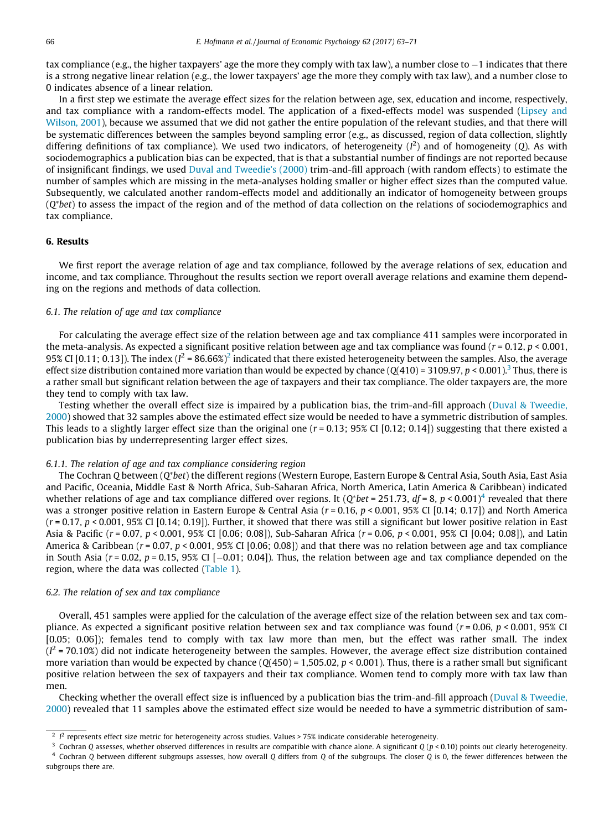tax compliance (e.g., the higher taxpayers' age the more they comply with tax law), a number close to  $-1$  indicates that there is a strong negative linear relation (e.g., the lower taxpayers' age the more they comply with tax law), and a number close to 0 indicates absence of a linear relation.

In a first step we estimate the average effect sizes for the relation between age, sex, education and income, respectively, and tax compliance with a random-effects model. The application of a fixed-effects model was suspended ([Lipsey and](#page-8-0) [Wilson, 2001\)](#page-8-0), because we assumed that we did not gather the entire population of the relevant studies, and that there will be systematic differences between the samples beyond sampling error (e.g., as discussed, region of data collection, slightly differing definitions of tax compliance). We used two indicators, of heterogeneity  $(I^2)$  and of homogeneity  $(Q)$ . As with sociodemographics a publication bias can be expected, that is that a substantial number of findings are not reported because of insignificant findings, we used [Duval and Tweedie's \(2000\)](#page-8-0) trim-and-fill approach (with random effects) to estimate the number of samples which are missing in the meta-analyses holding smaller or higher effect sizes than the computed value. Subsequently, we calculated another random-effects model and additionally an indicator of homogeneity between groups (Q⁄ bet) to assess the impact of the region and of the method of data collection on the relations of sociodemographics and tax compliance.

#### 6. Results

We first report the average relation of age and tax compliance, followed by the average relations of sex, education and income, and tax compliance. Throughout the results section we report overall average relations and examine them depending on the regions and methods of data collection.

#### 6.1. The relation of age and tax compliance

For calculating the average effect size of the relation between age and tax compliance 411 samples were incorporated in the meta-analysis. As expected a significant positive relation between age and tax compliance was found ( $r = 0.12$ ,  $p < 0.001$ , 95% CI [0.11; 0.13]). The index ( $I^2$  = 86.66%)<sup>2</sup> indicated that there existed heterogeneity between the samples. Also, the average effect size distribution contained more variation than would be expected by chance ( $O(410)$  = 3109.97, p < 0.001).<sup>3</sup> Thus, there is a rather small but significant relation between the age of taxpayers and their tax compliance. The older taxpayers are, the more they tend to comply with tax law.

Testing whether the overall effect size is impaired by a publication bias, the trim-and-fill approach [\(Duval & Tweedie,](#page-8-0) [2000\)](#page-8-0) showed that 32 samples above the estimated effect size would be needed to have a symmetric distribution of samples. This leads to a slightly larger effect size than the original one  $(r = 0.13; 95\%$  CI [0.12; 0.14]) suggesting that there existed a publication bias by underrepresenting larger effect sizes.

#### 6.1.1. The relation of age and tax compliance considering region

The Cochran Q between (Q\*bet) the different regions (Western Europe, Eastern Europe & Central Asia, South Asia, East Asia and Pacific, Oceania, Middle East & North Africa, Sub-Saharan Africa, North America, Latin America & Caribbean) indicated whether relations of age and tax compliance differed over regions. It (Q<sup>\*</sup>bet = 251.73,  $df = 8$ ,  $p < 0.001$ <sup>4</sup> revealed that there was a stronger positive relation in Eastern Europe & Central Asia ( $r = 0.16$ ,  $p < 0.001$ , 95% CI [0.14; 0.17]) and North America  $(r = 0.17, p < 0.001, 95\%$  CI [0.14; 0.19]). Further, it showed that there was still a significant but lower positive relation in East Asia & Pacific (r = 0.07, p < 0.001, 95% CI [0.06; 0.08]), Sub-Saharan Africa (r = 0.06, p < 0.001, 95% CI [0.04; 0.08]), and Latin America & Caribbean ( $r = 0.07$ ,  $p < 0.001$ , 95% CI [0.06; 0.08]) and that there was no relation between age and tax compliance in South Asia ( $r = 0.02$ ,  $p = 0.15$ , 95% CI  $[-0.01; 0.04]$ ). Thus, the relation between age and tax compliance depended on the region, where the data was collected ([Table 1\)](#page-5-0).

#### 6.2. The relation of sex and tax compliance

Overall, 451 samples were applied for the calculation of the average effect size of the relation between sex and tax compliance. As expected a significant positive relation between sex and tax compliance was found ( $r = 0.06$ ,  $p < 0.001$ , 95% CI [0.05; 0.06]); females tend to comply with tax law more than men, but the effect was rather small. The index  $(I^2 = 70.10\%)$  did not indicate heterogeneity between the samples. However, the average effect size distribution contained more variation than would be expected by chance  $(Q(450) = 1,505.02, p < 0.001)$ . Thus, there is a rather small but significant positive relation between the sex of taxpayers and their tax compliance. Women tend to comply more with tax law than men.

Checking whether the overall effect size is influenced by a publication bias the trim-and-fill approach ([Duval & Tweedie,](#page-8-0) [2000\)](#page-8-0) revealed that 11 samples above the estimated effect size would be needed to have a symmetric distribution of sam-

 $2 I^2$  represents effect size metric for heterogeneity across studies. Values > 75% indicate considerable heterogeneity.

<sup>&</sup>lt;sup>3</sup> Cochran Q assesses, whether observed differences in results are compatible with chance alone. A significant Q ( $p$  < 0.10) points out clearly heterogeneity.

 $4$  Cochran Q between different subgroups assesses, how overall Q differs from Q of the subgroups. The closer Q is 0, the fewer differences between the subgroups there are.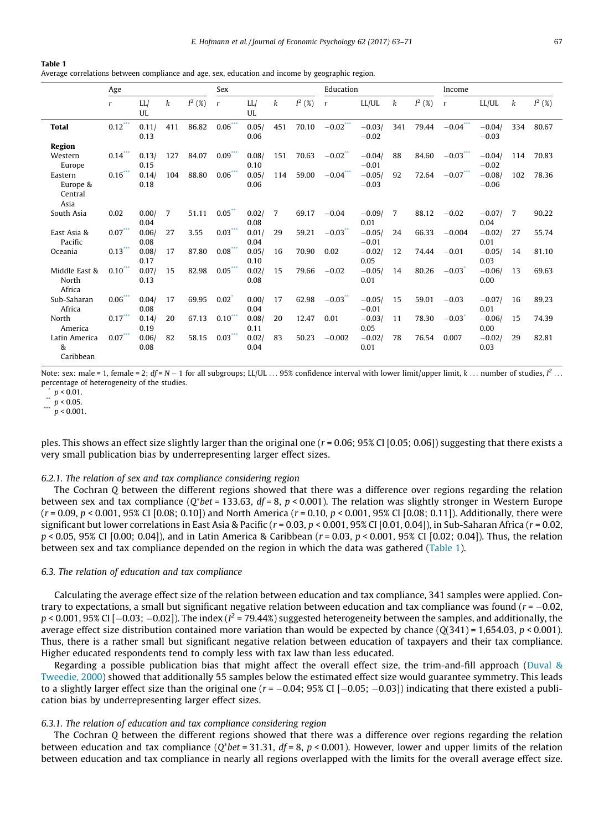#### <span id="page-5-0"></span>Table 1

Average correlations between compliance and age, sex, education and income by geographic region.

|                                        | Age                       |                  |                 |          | <b>Sex</b>            |                  |     |           | Education            |                     |     |           | Income           |                     |     |           |
|----------------------------------------|---------------------------|------------------|-----------------|----------|-----------------------|------------------|-----|-----------|----------------------|---------------------|-----|-----------|------------------|---------------------|-----|-----------|
|                                        | r                         | LL/<br><b>UL</b> | k               | $I^2(x)$ | $\mathbf{r}$          | LL/<br><b>UL</b> | k   | $I^2$ (%) | $\mathbf{r}$         | LL/UL               | k   | $I^2$ (%) | r                | LL/UL               | k   | $I^2$ (%) |
| <b>Total</b>                           | $0.12$ <sup>***</sup>     | 0.11/<br>0.13    | 411             | 86.82    | $0.06$ <sup>***</sup> | 0.05/<br>0.06    | 451 | 70.10     | $-0.02$ $\cdots$     | $-0.03/$<br>$-0.02$ | 341 | 79.44     | $-0.04$ $\cdots$ | $-0.04/$<br>$-0.03$ | 334 | 80.67     |
| Region                                 |                           |                  |                 |          |                       |                  |     |           |                      |                     |     |           |                  |                     |     |           |
| Western<br>Europe                      | $0.14$ <sup>*</sup>       | 0.13/<br>0.15    | 127             | 84.07    | 0.09                  | 0.08/<br>0.10    | 151 | 70.63     | $-0.02$              | $-0.04/$<br>$-0.01$ | 88  | 84.60     | $-0.03$          | $-0.04/$<br>$-0.02$ | 114 | 70.83     |
| Eastern<br>Europe &<br>Central<br>Asia | $0.16$ <sup>***</sup>     | 0.14/<br>0.18    | 104             | 88.80    | 0.06                  | 0.05/<br>0.06    | 114 | 59.00     | $-0.04$              | $-0.05/$<br>$-0.03$ | 92  | 72.64     | $-0.07$ ***      | $-0.08/$<br>$-0.06$ | 102 | 78.36     |
| South Asia                             | 0.02                      | 0.00/<br>0.04    | $7\phantom{.0}$ | 51.11    | 0.05                  | 0.02/<br>0.08    | 7   | 69.17     | $-0.04$              | $-0.09/$<br>0.01    | 7   | 88.12     | $-0.02$          | $-0.07/$<br>0.04    | 7   | 90.22     |
| East Asia &<br>Pacific                 | $0.07\overset{\cdots}{ }$ | 0.06/<br>0.08    | 27              | 3.55     | $0.03$ ***            | 0.01/<br>0.04    | 29  | 59.21     | $-0.03$ <sup>*</sup> | $-0.05/$<br>$-0.01$ | 24  | 66.33     | $-0.004$         | $-0.02/$<br>0.01    | 27  | 55.74     |
| Oceania                                | $0.13$ ***                | 0.08/<br>0.17    | 17              | 87.80    | $0.08$ <sup>***</sup> | 0.05/<br>0.10    | 16  | 70.90     | 0.02                 | $-0.02/$<br>0.05    | 12  | 74.44     | $-0.01$          | $-0.05/$<br>0.03    | 14  | 81.10     |
| Middle East &<br>North<br>Africa       | 0.10                      | 0.07/<br>0.13    | 15              | 82.98    | $0.05$                | 0.02/<br>0.08    | 15  | 79.66     | $-0.02$              | $-0.05/$<br>0.01    | 14  | 80.26     | $-0.03$          | $-0.06/$<br>0.00    | 13  | 69.63     |
| Sub-Saharan<br>Africa                  | 0.06                      | 0.04/<br>0.08    | 17              | 69.95    | 0.02                  | 0.00/<br>0.04    | 17  | 62.98     | $-0.03$              | $-0.05/$<br>$-0.01$ | 15  | 59.01     | $-0.03$          | $-0.07/$<br>0.01    | 16  | 89.23     |
| North<br>America                       | $0.17$ ***                | 0.14/<br>0.19    | 20              | 67.13    | $0.10$ <sup>***</sup> | 0.08/<br>0.11    | 20  | 12.47     | 0.01                 | $-0.03/$<br>0.05    | 11  | 78.30     | $-0.03$          | $-0.06/$<br>0.00    | 15  | 74.39     |
| Latin America<br>&<br>Caribbean        | $0.07$ $\cdots$           | 0.06/<br>0.08    | 82              | 58.15    | $0.03$                | 0.02/<br>0.04    | 83  | 50.23     | $-0.002$             | $-0.02/$<br>0.01    | 78  | 76.54     | 0.007            | $-0.02/$<br>0.03    | 29  | 82.81     |

Note: sex: male = 1, female = 2;  $df = N - 1$  for all subgroups; LL/UL  $\dots$  95% confidence interval with lower limit/upper limit, k  $\dots$  number of studies,  $l^2$   $\dots$ percentage of heterogeneity of the studies.

 $\binom{p}{y}$  = 0.01.

 $\sum_{n=1}^{10} p < 0.05$ .

 $p < 0.001$ .

ples. This shows an effect size slightly larger than the original one ( $r = 0.06$ ; 95% CI [0.05; 0.06]) suggesting that there exists a very small publication bias by underrepresenting larger effect sizes.

#### 6.2.1. The relation of sex and tax compliance considering region

The Cochran Q between the different regions showed that there was a difference over regions regarding the relation between sex and tax compliance (Q\*bet = 133.63, df = 8, p < 0.001). The relation was slightly stronger in Western Europe  $(r = 0.09, p < 0.001, 95\%$  CI [0.08; 0.10]) and North America  $(r = 0.10, p < 0.001, 95\%$  CI [0.08; 0.11]). Additionally, there were significant but lower correlations in East Asia & Pacific ( $r = 0.03$ ,  $p < 0.001$ ,  $95\%$  CI [0.01, 0.04]), in Sub-Saharan Africa ( $r = 0.02$ , p < 0.05, 95% CI [0.00; 0.04]), and in Latin America & Caribbean (r = 0.03, p < 0.001, 95% CI [0.02; 0.04]). Thus, the relation between sex and tax compliance depended on the region in which the data was gathered (Table 1).

#### 6.3. The relation of education and tax compliance

Calculating the average effect size of the relation between education and tax compliance, 341 samples were applied. Contrary to expectations, a small but significant negative relation between education and tax compliance was found ( $r = -0.02$ ,  $p$  < 0.001, 95% CI [-0.03; -0.02]). The index ( $l^2$  = 79.44%) suggested heterogeneity between the samples, and additionally, the average effect size distribution contained more variation than would be expected by chance ( $Q(341) = 1,654.03$ ,  $p < 0.001$ ). Thus, there is a rather small but significant negative relation between education of taxpayers and their tax compliance. Higher educated respondents tend to comply less with tax law than less educated.

Regarding a possible publication bias that might affect the overall effect size, the trim-and-fill approach [\(Duval &](#page-8-0) [Tweedie, 2000](#page-8-0)) showed that additionally 55 samples below the estimated effect size would guarantee symmetry. This leads to a slightly larger effect size than the original one  $(r = -0.04; 95\% \text{ CI} [-0.05; -0.03])$  indicating that there existed a publication bias by underrepresenting larger effect sizes.

#### 6.3.1. The relation of education and tax compliance considering region

The Cochran Q between the different regions showed that there was a difference over regions regarding the relation between education and tax compliance (Q<sup>\*</sup>bet = 31.31, df = 8, p < 0.001). However, lower and upper limits of the relation between education and tax compliance in nearly all regions overlapped with the limits for the overall average effect size.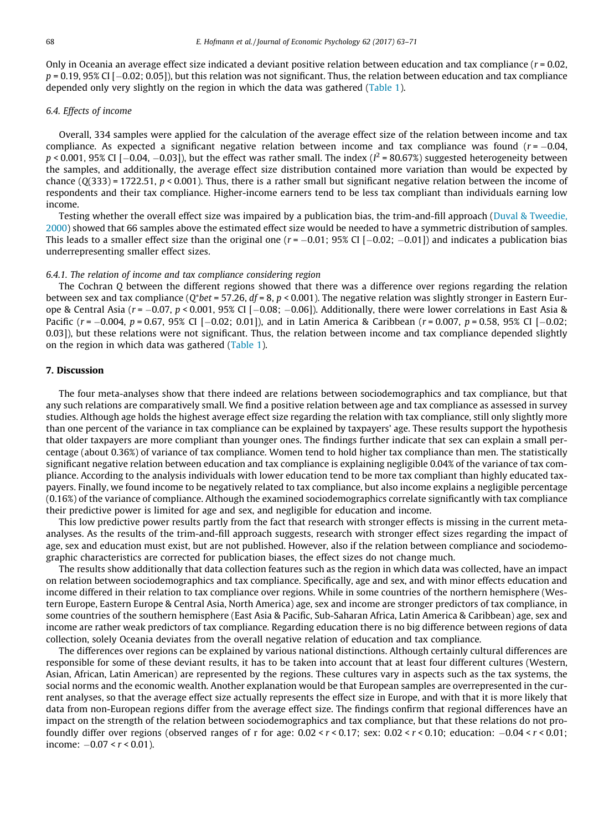Only in Oceania an average effect size indicated a deviant positive relation between education and tax compliance  $(r = 0.02,$  $p = 0.19, 95\%$  CI [-0.02; 0.05]), but this relation was not significant. Thus, the relation between education and tax compliance depended only very slightly on the region in which the data was gathered [\(Table 1\)](#page-5-0).

#### 6.4. Effects of income

Overall, 334 samples were applied for the calculation of the average effect size of the relation between income and tax compliance. As expected a significant negative relation between income and tax compliance was found  $(r = -0.04,$  $p$  < 0.001, 95% CI [-0.04, -0.03]), but the effect was rather small. The index ( $l^2$  = 80.67%) suggested heterogeneity between the samples, and additionally, the average effect size distribution contained more variation than would be expected by chance  $(Q(333) = 1722.51, p < 0.001)$ . Thus, there is a rather small but significant negative relation between the income of respondents and their tax compliance. Higher-income earners tend to be less tax compliant than individuals earning low income.

Testing whether the overall effect size was impaired by a publication bias, the trim-and-fill approach [\(Duval & Tweedie,](#page-8-0) [2000\)](#page-8-0) showed that 66 samples above the estimated effect size would be needed to have a symmetric distribution of samples. This leads to a smaller effect size than the original one  $(r = -0.01; 95\%$  CI  $[-0.02; -0.01]$  and indicates a publication bias underrepresenting smaller effect sizes.

#### 6.4.1. The relation of income and tax compliance considering region

The Cochran Q between the different regions showed that there was a difference over regions regarding the relation between sex and tax compliance (Q\*bet = 57.26, df = 8, p < 0.001). The negative relation was slightly stronger in Eastern Europe & Central Asia ( $r = -0.07$ ,  $p < 0.001$ , 95% CI  $[-0.08; -0.06]$ ). Additionally, there were lower correlations in East Asia & Pacific ( $r = -0.004$ ,  $p = 0.67$ , 95% CI  $[-0.02; 0.01]$ ), and in Latin America & Caribbean ( $r = 0.007$ ,  $p = 0.58$ , 95% CI  $[-0.02;$ 0.03]), but these relations were not significant. Thus, the relation between income and tax compliance depended slightly on the region in which data was gathered ([Table 1](#page-5-0)).

#### 7. Discussion

The four meta-analyses show that there indeed are relations between sociodemographics and tax compliance, but that any such relations are comparatively small. We find a positive relation between age and tax compliance as assessed in survey studies. Although age holds the highest average effect size regarding the relation with tax compliance, still only slightly more than one percent of the variance in tax compliance can be explained by taxpayers' age. These results support the hypothesis that older taxpayers are more compliant than younger ones. The findings further indicate that sex can explain a small percentage (about 0.36%) of variance of tax compliance. Women tend to hold higher tax compliance than men. The statistically significant negative relation between education and tax compliance is explaining negligible 0.04% of the variance of tax compliance. According to the analysis individuals with lower education tend to be more tax compliant than highly educated taxpayers. Finally, we found income to be negatively related to tax compliance, but also income explains a negligible percentage (0.16%) of the variance of compliance. Although the examined sociodemographics correlate significantly with tax compliance their predictive power is limited for age and sex, and negligible for education and income.

This low predictive power results partly from the fact that research with stronger effects is missing in the current metaanalyses. As the results of the trim-and-fill approach suggests, research with stronger effect sizes regarding the impact of age, sex and education must exist, but are not published. However, also if the relation between compliance and sociodemographic characteristics are corrected for publication biases, the effect sizes do not change much.

The results show additionally that data collection features such as the region in which data was collected, have an impact on relation between sociodemographics and tax compliance. Specifically, age and sex, and with minor effects education and income differed in their relation to tax compliance over regions. While in some countries of the northern hemisphere (Western Europe, Eastern Europe & Central Asia, North America) age, sex and income are stronger predictors of tax compliance, in some countries of the southern hemisphere (East Asia & Pacific, Sub-Saharan Africa, Latin America & Caribbean) age, sex and income are rather weak predictors of tax compliance. Regarding education there is no big difference between regions of data collection, solely Oceania deviates from the overall negative relation of education and tax compliance.

The differences over regions can be explained by various national distinctions. Although certainly cultural differences are responsible for some of these deviant results, it has to be taken into account that at least four different cultures (Western, Asian, African, Latin American) are represented by the regions. These cultures vary in aspects such as the tax systems, the social norms and the economic wealth. Another explanation would be that European samples are overrepresented in the current analyses, so that the average effect size actually represents the effect size in Europe, and with that it is more likely that data from non-European regions differ from the average effect size. The findings confirm that regional differences have an impact on the strength of the relation between sociodemographics and tax compliance, but that these relations do not profoundly differ over regions (observed ranges of r for age:  $0.02 < r < 0.17$ ; sex:  $0.02 < r < 0.10$ ; education:  $-0.04 < r < 0.01$ ; income:  $-0.07 < r < 0.01$ ).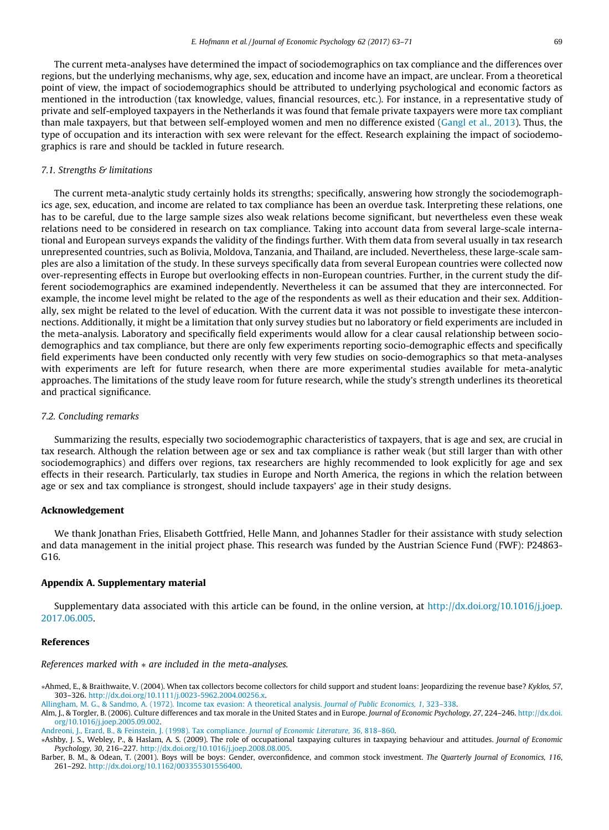<span id="page-7-0"></span>The current meta-analyses have determined the impact of sociodemographics on tax compliance and the differences over regions, but the underlying mechanisms, why age, sex, education and income have an impact, are unclear. From a theoretical point of view, the impact of sociodemographics should be attributed to underlying psychological and economic factors as mentioned in the introduction (tax knowledge, values, financial resources, etc.). For instance, in a representative study of private and self-employed taxpayers in the Netherlands it was found that female private taxpayers were more tax compliant than male taxpayers, but that between self-employed women and men no difference existed ([Gangl et al., 2013\)](#page-8-0). Thus, the type of occupation and its interaction with sex were relevant for the effect. Research explaining the impact of sociodemographics is rare and should be tackled in future research.

#### 7.1. Strengths & limitations

The current meta-analytic study certainly holds its strengths; specifically, answering how strongly the sociodemographics age, sex, education, and income are related to tax compliance has been an overdue task. Interpreting these relations, one has to be careful, due to the large sample sizes also weak relations become significant, but nevertheless even these weak relations need to be considered in research on tax compliance. Taking into account data from several large-scale international and European surveys expands the validity of the findings further. With them data from several usually in tax research unrepresented countries, such as Bolivia, Moldova, Tanzania, and Thailand, are included. Nevertheless, these large-scale samples are also a limitation of the study. In these surveys specifically data from several European countries were collected now over-representing effects in Europe but overlooking effects in non-European countries. Further, in the current study the different sociodemographics are examined independently. Nevertheless it can be assumed that they are interconnected. For example, the income level might be related to the age of the respondents as well as their education and their sex. Additionally, sex might be related to the level of education. With the current data it was not possible to investigate these interconnections. Additionally, it might be a limitation that only survey studies but no laboratory or field experiments are included in the meta-analysis. Laboratory and specifically field experiments would allow for a clear causal relationship between sociodemographics and tax compliance, but there are only few experiments reporting socio-demographic effects and specifically field experiments have been conducted only recently with very few studies on socio-demographics so that meta-analyses with experiments are left for future research, when there are more experimental studies available for meta-analytic approaches. The limitations of the study leave room for future research, while the study's strength underlines its theoretical and practical significance.

#### 7.2. Concluding remarks

Summarizing the results, especially two sociodemographic characteristics of taxpayers, that is age and sex, are crucial in tax research. Although the relation between age or sex and tax compliance is rather weak (but still larger than with other sociodemographics) and differs over regions, tax researchers are highly recommended to look explicitly for age and sex effects in their research. Particularly, tax studies in Europe and North America, the regions in which the relation between age or sex and tax compliance is strongest, should include taxpayers' age in their study designs.

#### Acknowledgement

We thank Jonathan Fries, Elisabeth Gottfried, Helle Mann, and Johannes Stadler for their assistance with study selection and data management in the initial project phase. This research was funded by the Austrian Science Fund (FWF): P24863- G16.

#### Appendix A. Supplementary material

Supplementary data associated with this article can be found, in the online version, at [http://dx.doi.org/10.1016/j.joep.](http://dx.doi.org/10.1016/j.joep.2017.06.005) [2017.06.005](http://dx.doi.org/10.1016/j.joep.2017.06.005).

#### References

References marked with  $*$  are included in the meta-analyses.

⁄Ahmed, E., & Braithwaite, V. (2004). When tax collectors become collectors for child support and student loans: Jeopardizing the revenue base? Kyklos, 57, 303–326. [http://dx.doi.org/10.1111/j.0023-5962.2004.00256.x.](http://dx.doi.org/10.1111/j.0023-5962.2004.00256.x)

[Allingham, M. G., & Sandmo, A. \(1972\). Income tax evasion: A theoretical analysis.](http://refhub.elsevier.com/S0167-4870(16)30401-9/h0010) Journal of Public Economics, 1, 323–338.

Alm, J., & Torgler, B. (2006). Culture differences and tax morale in the United States and in Europe. Journal of Economic Psychology, 27, 224-246. [http://dx.doi.](http://dx.doi.org/10.1016/j.joep.2005.09.002) [org/10.1016/j.joep.2005.09.002.](http://dx.doi.org/10.1016/j.joep.2005.09.002)

[Andreoni, J., Erard, B., & Feinstein, J. \(1998\). Tax compliance.](http://refhub.elsevier.com/S0167-4870(16)30401-9/h0020) Journal of Economic Literature, 36, 818–860.

⁄Ashby, J. S., Webley, P., & Haslam, A. S. (2009). The role of occupational taxpaying cultures in taxpaying behaviour and attitudes. Journal of Economic Psychology, 30, 216–227. <http://dx.doi.org/10.1016/j.joep.2008.08.005>.

Barber, B. M., & Odean, T. (2001). Boys will be boys: Gender, overconfidence, and common stock investment. The Quarterly Journal of Economics, 116, 261–292. [http://dx.doi.org/10.1162/003355301556400.](http://dx.doi.org/10.1162/003355301556400)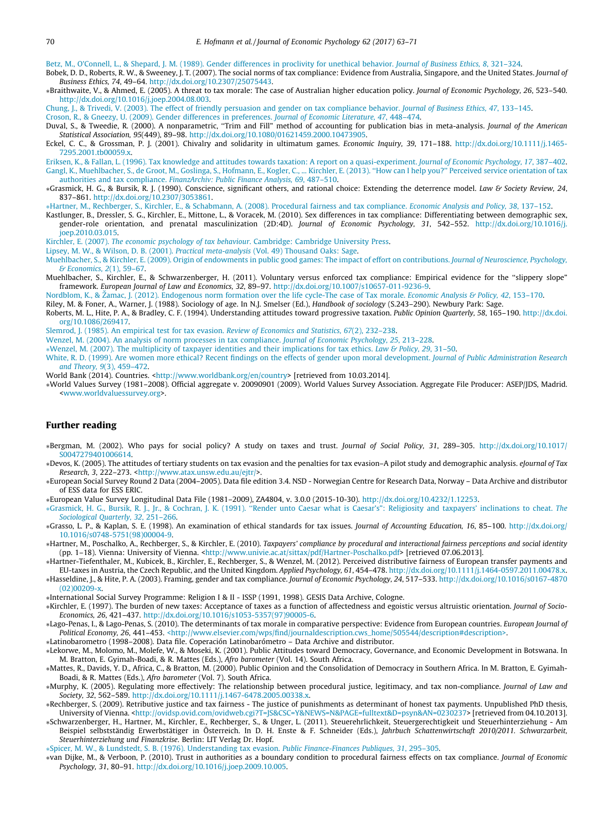<span id="page-8-0"></span>[Betz, M., O'Connell, L., & Shepard, J. M. \(1989\). Gender differences in proclivity for unethical behavior.](http://refhub.elsevier.com/S0167-4870(16)30401-9/h0040) Journal of Business Ethics, 8, 321–324.

- Bobek, D. D., Roberts, R. W., & Sweeney, J. T. (2007). The social norms of tax compliance: Evidence from Australia, Singapore, and the United States. Journal of Business Ethics, 74, 49–64. [http://dx.doi.org/10.2307/25075443.](http://dx.doi.org/10.2307/25075443)
- ⁄Braithwaite, V., & Ahmed, E. (2005). A threat to tax morale: The case of Australian higher education policy. Journal of Economic Psychology, 26, 523–540. <http://dx.doi.org/10.1016/j.joep.2004.08.003>.

[Chung, J., & Trivedi, V. \(2003\). The effect of friendly persuasion and gender on tax compliance behavior.](http://refhub.elsevier.com/S0167-4870(16)30401-9/h0055) Journal of Business Ethics, 47, 133–145.

[Croson, R., & Gneezy, U. \(2009\). Gender differences in preferences.](http://refhub.elsevier.com/S0167-4870(16)30401-9/h0060) Journal of Economic Literature, 47, 448–474.<br>Duval, S., & Tweedie, R. (2000). A nonparametric, "Trim and Fill" method of accounting for publication bias i

- Statistical Association, 95(449), 89–98. <http://dx.doi.org/10.1080/01621459.2000.10473905>.
- Eckel, C. C., & Grossman, P. J. (2001). Chivalry and solidarity in ultimatum games. Economic Inquiry, 39, 171–188. [http://dx.doi.org/10.1111/j.1465-](http://dx.doi.org/10.1111/j.1465-7295.2001.tb00059.x) [7295.2001.tb00059.x.](http://dx.doi.org/10.1111/j.1465-7295.2001.tb00059.x)

[Eriksen, K., & Fallan, L. \(1996\). Tax knowledge and attitudes towards taxation: A report on a quasi-experiment.](http://refhub.elsevier.com/S0167-4870(16)30401-9/h0080) Journal of Economic Psychology, 17, 387–402. [Gangl, K., Muehlbacher, S., de Groot, M., Goslinga, S., Hofmann, E., Kogler, C., ... Kirchler, E. \(2013\). ''How can I help you?'' Perceived service orientation of tax](http://refhub.elsevier.com/S0167-4870(16)30401-9/h0095) authorities and tax compliance. [FinanzArchiv: Public Finance Analysis, 69](http://refhub.elsevier.com/S0167-4870(16)30401-9/h0095), 487–510.

⁄Grasmick, H. G., & Bursik, R. J. (1990). Conscience, significant others, and rational choice: Extending the deterrence model. Law & Society Review, 24, 837–861. [http://dx.doi.org/10.2307/3053861.](http://dx.doi.org/10.2307/3053861)

⁄[Hartner, M., Rechberger, S., Kirchler, E., & Schabmann, A. \(2008\). Procedural fairness and tax compliance.](http://refhub.elsevier.com/S0167-4870(16)30401-9/h0120) Economic Analysis and Policy, 38, 137–152.

Kastlunger, B., Dressler, S. G., Kirchler, E., Mittone, L., & Voracek, M. (2010). Sex differences in tax compliance: Differentiating between demographic sex, gender-role orientation, and prenatal masculinization (2D:4D). Journal of Economic Psychology, 31, 542–552. [http://dx.doi.org/10.1016/j.](http://dx.doi.org/10.1016/j.joep.2010.03.015) [joep.2010.03.015.](http://dx.doi.org/10.1016/j.joep.2010.03.015)

Kirchler, E. (2007). The economic psychology of tax behaviour[. Cambridge: Cambridge University Press.](http://refhub.elsevier.com/S0167-4870(16)30401-9/h0150)

- [Lipsey, M. W., & Wilson, D. B. \(2001\).](http://refhub.elsevier.com/S0167-4870(16)30401-9/h0170) Practical meta-analysis (Vol. 49) Thousand Oaks: Sage.
- [Muehlbacher, S., & Kirchler, E. \(2009\). Origin of endowments in public good games: The impact of effort on contributions.](http://refhub.elsevier.com/S0167-4870(16)30401-9/h0180) Journal of Neuroscience, Psychology, [& Economics, 2](http://refhub.elsevier.com/S0167-4870(16)30401-9/h0180)(1), 59–67.
- Muehlbacher, S., Kirchler, E., & Schwarzenberger, H. (2011). Voluntary versus enforced tax compliance: Empirical evidence for the ''slippery slope" framework. European Journal of Law and Economics, 32, 89–97. [http://dx.doi.org/10.1007/s10657-011-9236-9.](http://dx.doi.org/10.1007/s10657-011-9236-9)

Nordblom, K., & Žamac, J. (2012). Endogenous norm formation over the life cycle-The case of Tax morale. Economic Analysis & Policy, 42, 153-170.

Riley, M. & Foner, A., Warner, J. (1988). Sociology of age. In N.J. Smelser (Ed.), Handbook of sociology (S.243–290). Newbury Park: Sage.

Roberts, M. L., Hite, P. A., & Bradley, C. F. (1994). Understanding attitudes toward progressive taxation. Public Opinion Quarterly, 58, 165-190. [http://dx.doi.](http://dx.doi.org/10.1086/269417) [org/10.1086/269417.](http://dx.doi.org/10.1086/269417)

[Slemrod, J. \(1985\). An empirical test for tax evasion.](http://refhub.elsevier.com/S0167-4870(16)30401-9/h0220) Review of Economics and Statistics, 67(2), 232–238.

- [Wenzel, M. \(2004\). An analysis of norm processes in tax compliance.](http://refhub.elsevier.com/S0167-4870(16)30401-9/h0245) Journal of Economic Psychology, 25, 213-228.
- ⁄[Wenzel, M. \(2007\). The multiplicity of taxpayer identities and their implications for tax ethics.](http://refhub.elsevier.com/S0167-4870(16)30401-9/h0255) Law & Policy, 29, 31–50.
- [White, R. D. \(1999\). Are women more ethical? Recent findings on the effects of gender upon moral development.](http://refhub.elsevier.com/S0167-4870(16)30401-9/h0260) Journal of Public Administration Research [and Theory, 9](http://refhub.elsevier.com/S0167-4870(16)30401-9/h0260)(3), 459–472.

World Bank (2014). Countries. [<http://www.worldbank.org/en/country>](http://www.worldbank.org/en/country) [retrieved from 10.03.2014].

⁄World Values Survey (1981–2008). Official aggregate v. 20090901 (2009). World Values Survey Association. Aggregate File Producer: ASEP/JDS, Madrid. <[www.worldvaluessurvey.org>](http://www.worldvaluessurvey.org).

#### Further reading

- ⁄Bergman, M. (2002). Who pays for social policy? A study on taxes and trust. Journal of Social Policy, 31, 289–305. [http://dx.doi.org/10.1017/](http://dx.doi.org/10.1017/S0047279401006614) [S0047279401006614](http://dx.doi.org/10.1017/S0047279401006614).
- ⁄Devos, K. (2005). The attitudes of tertiary students on tax evasion and the penalties for tax evasion–A pilot study and demographic analysis. eJournal of Tax Research, 3, 222–273. [<http://www.atax.unsw.edu.au/ejtr/](http://www.atax.unsw.edu.au/ejtr/)>.
- ⁄European Social Survey Round 2 Data (2004–2005). Data file edition 3.4. NSD Norwegian Centre for Research Data, Norway Data Archive and distributor of ESS data for ESS ERIC.

⁄European Value Survey Longitudinal Data File (1981–2009), ZA4804, v. 3.0.0 (2015-10-30). <http://dx.doi.org/10.4232/1.12253>.

- ⁄[Grasmick, H. G., Bursik, R. J., Jr., & Cochran, J. K. \(1991\). ''Render unto Caesar what is Caesar's": Religiosity and taxpayers' inclinations to cheat.](http://refhub.elsevier.com/S0167-4870(16)30401-9/h0105) The [Sociological Quarterly, 32](http://refhub.elsevier.com/S0167-4870(16)30401-9/h0105), 251–266.
- ⁄Grasso, L. P., & Kaplan, S. E. (1998). An examination of ethical standards for tax issues. Journal of Accounting Education, 16, 85–100. [http://dx.doi.org/](http://dx.doi.org/10.1016/s0748-5751(98)00004-9) [10.1016/s0748-5751\(98\)00004-9.](http://dx.doi.org/10.1016/s0748-5751(98)00004-9)
- ⁄Hartner, M., Poschalko, A., Rechberger, S., & Kirchler, E. (2010). Taxpayers' compliance by procedural and interactional fairness perceptions and social identity (pp. 1–18). Vienna: University of Vienna. <<http://www.univie.ac.at/sittax/pdf/Hartner-Poschalko.pdf>> [retrieved 07.06.2013].
- ⁄Hartner-Tiefenthaler, M., Kubicek, B., Kirchler, E., Rechberger, S., & Wenzel, M. (2012). Perceived distributive fairness of European transfer payments and EU-taxes in Austria, the Czech Republic, and the United Kingdom. Applied Psychology, 61, 454–478. [http://dx.doi.org/10.1111/j.1464-0597.2011.00478.x.](http://dx.doi.org/10.1111/j.1464-0597.2011.00478.x) ⁄Hasseldine, J., & Hite, P. A. (2003). Framing, gender and tax compliance. Journal of Economic Psychology, 24, 517–533. [http://dx.doi.org/10.1016/s0167-4870](http://dx.doi.org/10.1016/s0167-4870(02)00209-x)
- [\(02\)00209-x.](http://dx.doi.org/10.1016/s0167-4870(02)00209-x)
- ⁄International Social Survey Programme: Religion I & II ISSP (1991, 1998). GESIS Data Archive, Cologne.
- ⁄Kirchler, E. (1997). The burden of new taxes: Acceptance of taxes as a function of affectedness and egoistic versus altruistic orientation. Journal of Socio-Economics, 26, 421–437. [http://dx.doi.org/10.1016/s1053-5357\(97\)90005-6.](http://dx.doi.org/10.1016/s1053-5357(97)90005-6)
- ⁄Lago-Penas, I., & Lago-Penas, S. (2010). The determinants of tax morale in comparative perspective: Evidence from European countries. European Journal of Political Economy, 26, 441-453. [<http://www.elsevier.com/wps/find/journaldescription.cws\\_home/505544/description#description>.](http://www.elsevier.com/wps/find/journaldescription.cws_home/505544/description#description)

⁄Latinobarometro (1998–2008). Data file. Coperación Latinobarómetro – Data Archive and distributor.

- ⁄Lekorwe, M., Molomo, M., Molefe, W., & Moseki, K. (2001). Public Attitudes toward Democracy, Governance, and Economic Development in Botswana. In M. Bratton, E. Gyimah-Boadi, & R. Mattes (Eds.), Afro barometer (Vol. 14). South Africa.
- ⁄Mattes, R., Davids, Y. D., Africa, C., & Bratton, M. (2000). Public Opinion and the Consolidation of Democracy in Southern Africa. In M. Bratton, E. Gyimah-Boadi, & R. Mattes (Eds.), Afro barometer (Vol. 7). South Africa.
- ⁄Murphy, K. (2005). Regulating more effectively: The relationship between procedural justice, legitimacy, and tax non-compliance. Journal of Law and Society, 32, 562–589. <http://dx.doi.org/10.1111/j.1467-6478.2005.00338.x>.
- ⁄Rechberger, S. (2009). Retributive justice and tax fairness The justice of punishments as determinant of honest tax payments. Unpublished PhD thesis, University of Vienna. [<http://ovidsp.ovid.com/ovidweb.cgi?T=JS&CSC=Y&NEWS=N&PAGE=fulltext&D=psyn&AN=0230237](http://ovidsp.ovid.com/ovidweb.cgi?T=JS%26CSC=Y%26NEWS=N%26PAGE=fulltext%26D=psyn%26AN=0230237)> [retrieved from 04.10.2013].
- ⁄Schwarzenberger, H., Hartner, M., Kirchler, E., Rechberger, S., & Unger, L. (2011). Steuerehrlichkeit, Steuergerechtigkeit und Steuerhinterziehung Am Beispiel selbstständig Erwerbstätiger in Österreich. In D. H. Enste & F. Schneider (Eds.), Jahrbuch Schattenwirtschaft 2010/2011. Schwarzarbeit, Steuerhinterziehung und Finanzkrise. Berlin: LIT Verlag Dr. Hopf.

⁄[Spicer, M. W., & Lundstedt, S. B. \(1976\). Understanding tax evasion.](http://refhub.elsevier.com/S0167-4870(16)30401-9/h0225) Public Finance-Finances Publiques, 31, 295–305.

⁄van Dijke, M., & Verboon, P. (2010). Trust in authorities as a boundary condition to procedural fairness effects on tax compliance. Journal of Economic Psychology, 31, 80–91. [http://dx.doi.org/10.1016/j.joep.2009.10.005.](http://dx.doi.org/10.1016/j.joep.2009.10.005)